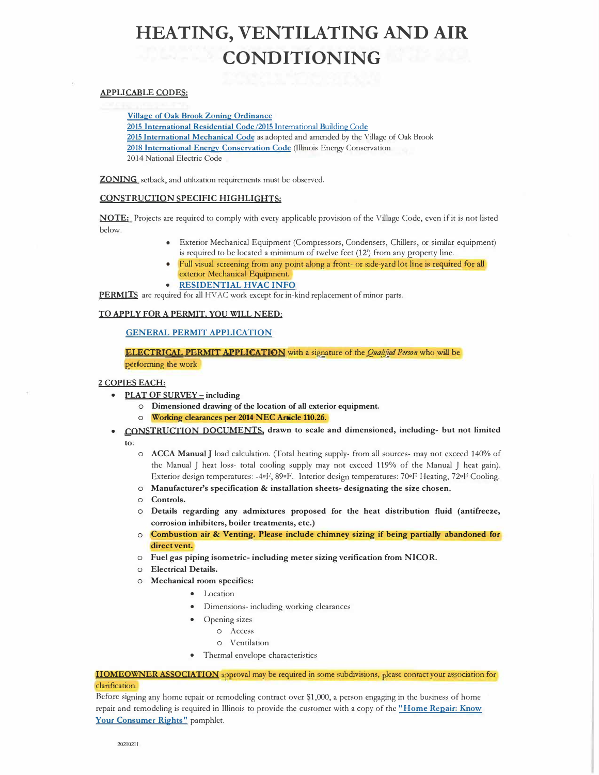## **HEATING, VENTILATING AND AIR CONDITIONING**

#### APPLICABLE CODES:

Village of Oak Brook Zoning Ordinance 2015 International Residential Code /2015 International Building Code 2015 International Mechanical Code as adopted and amended by the Village of Oak Brook 2018 International Energy Conservation Code (Illinois Energy Conservation 2014 National Electric Code

**ZONING** setback, and utilization requirements must be observed.

#### **CONSTRUCTION SPECIFIC HIGHLIGHTS:**

**NOTE:** Projects are required to comply with every applicable provision of the Village Code, even if it is not listed below.

- Exterior Mechanical Equipment (Compressors, Condensers, Chillers, or similar equipment) is required to be located a minimum of twelve feet (12') from any property line.
- Full visual screening from any point along a front- or side-yard lot line is reguired for all exterior Mechanical Equipment.
- **RESIDENTIAL HVAC INFO**

PERMITS are required for all HVAC work except for in-kind replacement of minor parts.

#### **TO APPLY FOR A PERMIT, YOU WILL NEED:**

#### **GENERAL PERMIT APPLICATION**

ELECTRICAL PERMIT APPLICATION with a signature of the *Qualified Person* who will be

performing the work.

#### **2 COPIES EACH:**

- **• PLAT OF SURVEY- including** 
	- o **Dimensioned drawing of the location of all exterior equipment.**
	- Working clearances per 2014 NEC Article 110.26.
- **• CONSTRUCTION DOCUMENTS. drawn to scale and dimensioned, including- but not limited to:** 
	- o **ACCA Manual** J load calculation. (fotal heating supply- from all sources- may not exceed 140% of the Manual J heat loss- total cooling supply may not exceed 119% of the Manual J heat gain). Exterior design temperatures: -4°F, 89°F. Interior design temperatures: 70°F Heating, 72°F Cooling.
	- o **Manufacturer's specification** & **installation sheets- designating the size chosen.**
	- o **Controls.**
	- o **Details regarding any admixtures proposed for the heat distribution fluid (antifreeze, corrosion inhibiters, boiler treatments, etc.)**
	- o **Combustion air** & **Venting. Please include chimney sizing if being partially abandoned for direct vent.**
	- o **Fuel gas piping isometric- including meter sizing verification from NICOR.**
	- o **Electrical Details.**
	- o **Mechanical room specifics:**
		- Location
		- Dimensions- including working clearances
		- Opening sizes
			- o Access
			- o Ventilation
		- Thermal envelope characteristics

HOMEOWNER ASSOCIATION approval may be required in some subdivisions, please contact your association for clarification.

Before signing any home repair or remodeling contract over S1 ,000, a person engaging in the business of home repair and remodeling is required in Illinois to provide the customer with a copy of the **"Home Repair: Know Your Consumer Rights"** pamphlet.